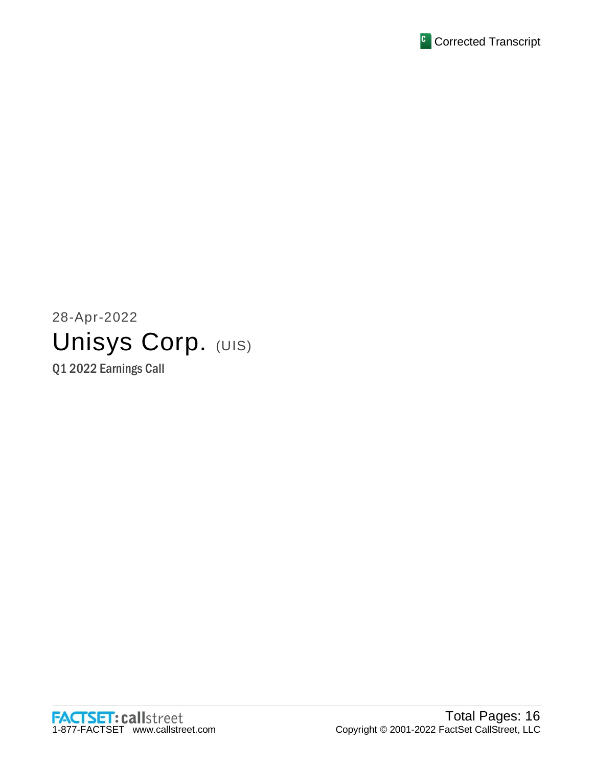

# 28-Apr-2022 Unisys Corp. (UIS)

Q1 2022 Earnings Call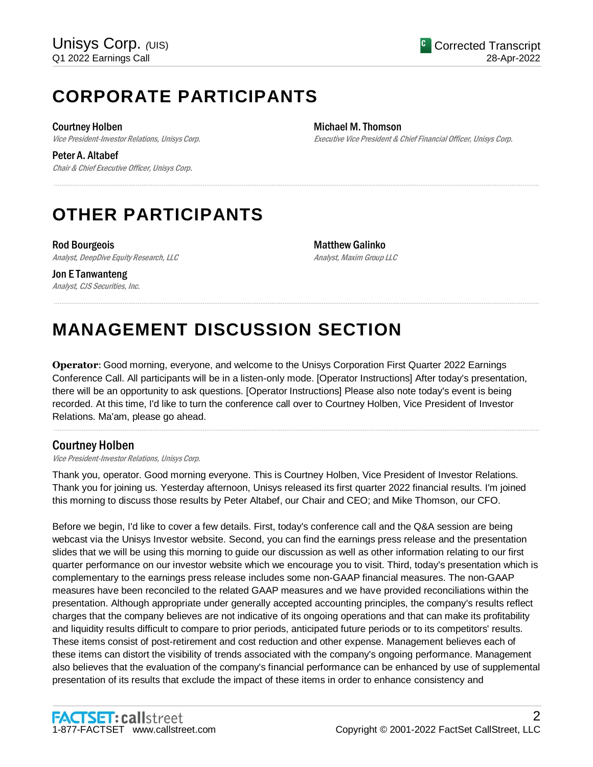## **CORPORATE PARTICIPANTS**

Courtney Holben

Jon E Tanwanteng

Vice President-Investor Relations, Unisys Corp.

Peter A. Altabef Chair & Chief Executive Officer, Unisys Corp. Michael M. Thomson

Executive Vice President & Chief Financial Officer, Unisys Corp.

## **OTHER PARTICIPANTS**

Rod Bourgeois Analyst, DeepDive Equity Research, LLC

Matthew Galinko Analyst, Maxim Group LLC

#### Analyst, CJS Securities, Inc. .....................................................................................................................................................................................................................................................................

## **MANAGEMENT DISCUSSION SECTION**

**Operator**: Good morning, everyone, and welcome to the Unisys Corporation First Quarter 2022 Earnings Conference Call. All participants will be in a listen-only mode. [Operator Instructions] After today's presentation, there will be an opportunity to ask questions. [Operator Instructions] Please also note today's event is being recorded. At this time, I'd like to turn the conference call over to Courtney Holben, Vice President of Investor Relations. Ma'am, please go ahead.

.....................................................................................................................................................................................................................................................................

.....................................................................................................................................................................................................................................................................

## Courtney Holben

Vice President-Investor Relations, Unisys Corp.

Thank you, operator. Good morning everyone. This is Courtney Holben, Vice President of Investor Relations. Thank you for joining us. Yesterday afternoon, Unisys released its first quarter 2022 financial results. I'm joined this morning to discuss those results by Peter Altabef, our Chair and CEO; and Mike Thomson, our CFO.

Before we begin, I'd like to cover a few details. First, today's conference call and the Q&A session are being webcast via the Unisys Investor website. Second, you can find the earnings press release and the presentation slides that we will be using this morning to guide our discussion as well as other information relating to our first quarter performance on our investor website which we encourage you to visit. Third, today's presentation which is complementary to the earnings press release includes some non-GAAP financial measures. The non-GAAP measures have been reconciled to the related GAAP measures and we have provided reconciliations within the presentation. Although appropriate under generally accepted accounting principles, the company's results reflect charges that the company believes are not indicative of its ongoing operations and that can make its profitability and liquidity results difficult to compare to prior periods, anticipated future periods or to its competitors' results. These items consist of post-retirement and cost reduction and other expense. Management believes each of these items can distort the visibility of trends associated with the company's ongoing performance. Management also believes that the evaluation of the company's financial performance can be enhanced by use of supplemental presentation of its results that exclude the impact of these items in order to enhance consistency and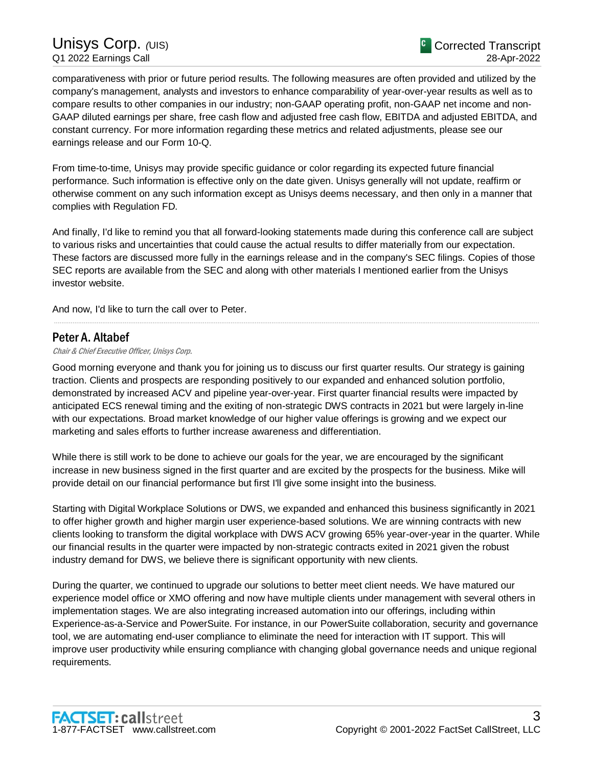comparativeness with prior or future period results. The following measures are often provided and utilized by the company's management, analysts and investors to enhance comparability of year-over-year results as well as to compare results to other companies in our industry; non-GAAP operating profit, non-GAAP net income and non-GAAP diluted earnings per share, free cash flow and adjusted free cash flow, EBITDA and adjusted EBITDA, and constant currency. For more information regarding these metrics and related adjustments, please see our earnings release and our Form 10-Q.

From time-to-time, Unisys may provide specific guidance or color regarding its expected future financial performance. Such information is effective only on the date given. Unisys generally will not update, reaffirm or otherwise comment on any such information except as Unisys deems necessary, and then only in a manner that complies with Regulation FD.

And finally, I'd like to remind you that all forward-looking statements made during this conference call are subject to various risks and uncertainties that could cause the actual results to differ materially from our expectation. These factors are discussed more fully in the earnings release and in the company's SEC filings. Copies of those SEC reports are available from the SEC and along with other materials I mentioned earlier from the Unisys investor website.

.....................................................................................................................................................................................................................................................................

And now, I'd like to turn the call over to Peter.

#### Peter A. Altabef

Chair & Chief Executive Officer, Unisys Corp.

Good morning everyone and thank you for joining us to discuss our first quarter results. Our strategy is gaining traction. Clients and prospects are responding positively to our expanded and enhanced solution portfolio, demonstrated by increased ACV and pipeline year-over-year. First quarter financial results were impacted by anticipated ECS renewal timing and the exiting of non-strategic DWS contracts in 2021 but were largely in-line with our expectations. Broad market knowledge of our higher value offerings is growing and we expect our marketing and sales efforts to further increase awareness and differentiation.

While there is still work to be done to achieve our goals for the year, we are encouraged by the significant increase in new business signed in the first quarter and are excited by the prospects for the business. Mike will provide detail on our financial performance but first I'll give some insight into the business.

Starting with Digital Workplace Solutions or DWS, we expanded and enhanced this business significantly in 2021 to offer higher growth and higher margin user experience-based solutions. We are winning contracts with new clients looking to transform the digital workplace with DWS ACV growing 65% year-over-year in the quarter. While our financial results in the quarter were impacted by non-strategic contracts exited in 2021 given the robust industry demand for DWS, we believe there is significant opportunity with new clients.

During the quarter, we continued to upgrade our solutions to better meet client needs. We have matured our experience model office or XMO offering and now have multiple clients under management with several others in implementation stages. We are also integrating increased automation into our offerings, including within Experience-as-a-Service and PowerSuite. For instance, in our PowerSuite collaboration, security and governance tool, we are automating end-user compliance to eliminate the need for interaction with IT support. This will improve user productivity while ensuring compliance with changing global governance needs and unique regional requirements.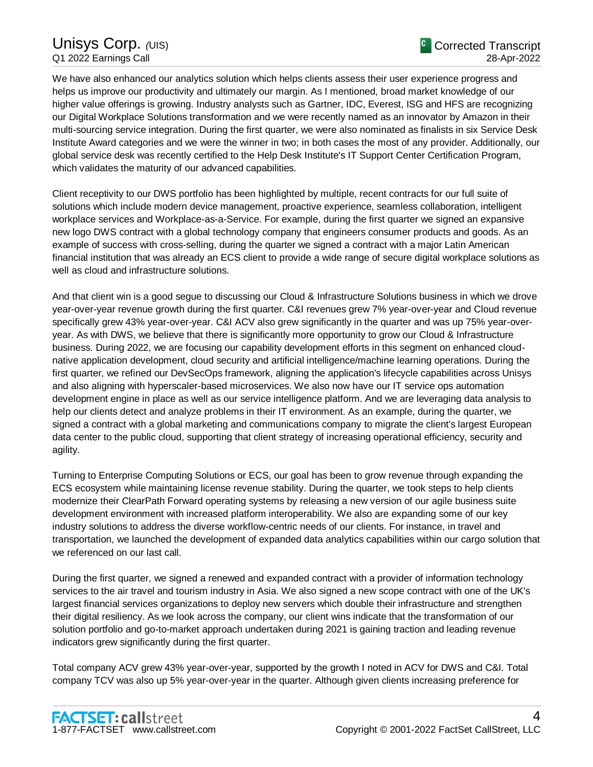We have also enhanced our analytics solution which helps clients assess their user experience progress and helps us improve our productivity and ultimately our margin. As I mentioned, broad market knowledge of our higher value offerings is growing. Industry analysts such as Gartner, IDC, Everest, ISG and HFS are recognizing our Digital Workplace Solutions transformation and we were recently named as an innovator by Amazon in their multi-sourcing service integration. During the first quarter, we were also nominated as finalists in six Service Desk Institute Award categories and we were the winner in two; in both cases the most of any provider. Additionally, our global service desk was recently certified to the Help Desk Institute's IT Support Center Certification Program, which validates the maturity of our advanced capabilities.

Client receptivity to our DWS portfolio has been highlighted by multiple, recent contracts for our full suite of solutions which include modern device management, proactive experience, seamless collaboration, intelligent workplace services and Workplace-as-a-Service. For example, during the first quarter we signed an expansive new logo DWS contract with a global technology company that engineers consumer products and goods. As an example of success with cross-selling, during the quarter we signed a contract with a major Latin American financial institution that was already an ECS client to provide a wide range of secure digital workplace solutions as well as cloud and infrastructure solutions.

And that client win is a good segue to discussing our Cloud & Infrastructure Solutions business in which we drove year-over-year revenue growth during the first quarter. C&I revenues grew 7% year-over-year and Cloud revenue specifically grew 43% year-over-year. C&I ACV also grew significantly in the quarter and was up 75% year-overyear. As with DWS, we believe that there is significantly more opportunity to grow our Cloud & Infrastructure business. During 2022, we are focusing our capability development efforts in this segment on enhanced cloudnative application development, cloud security and artificial intelligence/machine learning operations. During the first quarter, we refined our DevSecOps framework, aligning the application's lifecycle capabilities across Unisys and also aligning with hyperscaler-based microservices. We also now have our IT service ops automation development engine in place as well as our service intelligence platform. And we are leveraging data analysis to help our clients detect and analyze problems in their IT environment. As an example, during the quarter, we signed a contract with a global marketing and communications company to migrate the client's largest European data center to the public cloud, supporting that client strategy of increasing operational efficiency, security and agility.

Turning to Enterprise Computing Solutions or ECS, our goal has been to grow revenue through expanding the ECS ecosystem while maintaining license revenue stability. During the quarter, we took steps to help clients modernize their ClearPath Forward operating systems by releasing a new version of our agile business suite development environment with increased platform interoperability. We also are expanding some of our key industry solutions to address the diverse workflow-centric needs of our clients. For instance, in travel and transportation, we launched the development of expanded data analytics capabilities within our cargo solution that we referenced on our last call.

During the first quarter, we signed a renewed and expanded contract with a provider of information technology services to the air travel and tourism industry in Asia. We also signed a new scope contract with one of the UK's largest financial services organizations to deploy new servers which double their infrastructure and strengthen their digital resiliency. As we look across the company, our client wins indicate that the transformation of our solution portfolio and go-to-market approach undertaken during 2021 is gaining traction and leading revenue indicators grew significantly during the first quarter.

Total company ACV grew 43% year-over-year, supported by the growth I noted in ACV for DWS and C&I. Total company TCV was also up 5% year-over-year in the quarter. Although given clients increasing preference for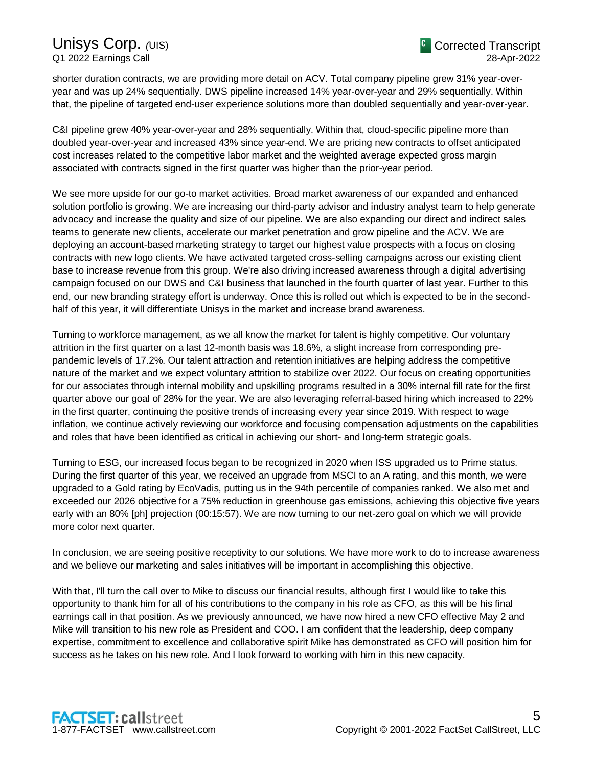shorter duration contracts, we are providing more detail on ACV. Total company pipeline grew 31% year-overyear and was up 24% sequentially. DWS pipeline increased 14% year-over-year and 29% sequentially. Within that, the pipeline of targeted end-user experience solutions more than doubled sequentially and year-over-year.

C&I pipeline grew 40% year-over-year and 28% sequentially. Within that, cloud-specific pipeline more than doubled year-over-year and increased 43% since year-end. We are pricing new contracts to offset anticipated cost increases related to the competitive labor market and the weighted average expected gross margin associated with contracts signed in the first quarter was higher than the prior-year period.

We see more upside for our go-to market activities. Broad market awareness of our expanded and enhanced solution portfolio is growing. We are increasing our third-party advisor and industry analyst team to help generate advocacy and increase the quality and size of our pipeline. We are also expanding our direct and indirect sales teams to generate new clients, accelerate our market penetration and grow pipeline and the ACV. We are deploying an account-based marketing strategy to target our highest value prospects with a focus on closing contracts with new logo clients. We have activated targeted cross-selling campaigns across our existing client base to increase revenue from this group. We're also driving increased awareness through a digital advertising campaign focused on our DWS and C&I business that launched in the fourth quarter of last year. Further to this end, our new branding strategy effort is underway. Once this is rolled out which is expected to be in the secondhalf of this year, it will differentiate Unisys in the market and increase brand awareness.

Turning to workforce management, as we all know the market for talent is highly competitive. Our voluntary attrition in the first quarter on a last 12-month basis was 18.6%, a slight increase from corresponding prepandemic levels of 17.2%. Our talent attraction and retention initiatives are helping address the competitive nature of the market and we expect voluntary attrition to stabilize over 2022. Our focus on creating opportunities for our associates through internal mobility and upskilling programs resulted in a 30% internal fill rate for the first quarter above our goal of 28% for the year. We are also leveraging referral-based hiring which increased to 22% in the first quarter, continuing the positive trends of increasing every year since 2019. With respect to wage inflation, we continue actively reviewing our workforce and focusing compensation adjustments on the capabilities and roles that have been identified as critical in achieving our short- and long-term strategic goals.

Turning to ESG, our increased focus began to be recognized in 2020 when ISS upgraded us to Prime status. During the first quarter of this year, we received an upgrade from MSCI to an A rating, and this month, we were upgraded to a Gold rating by EcoVadis, putting us in the 94th percentile of companies ranked. We also met and exceeded our 2026 objective for a 75% reduction in greenhouse gas emissions, achieving this objective five years early with an 80% [ph] projection (00:15:57). We are now turning to our net-zero goal on which we will provide more color next quarter.

In conclusion, we are seeing positive receptivity to our solutions. We have more work to do to increase awareness and we believe our marketing and sales initiatives will be important in accomplishing this objective.

With that, I'll turn the call over to Mike to discuss our financial results, although first I would like to take this opportunity to thank him for all of his contributions to the company in his role as CFO, as this will be his final earnings call in that position. As we previously announced, we have now hired a new CFO effective May 2 and Mike will transition to his new role as President and COO. I am confident that the leadership, deep company expertise, commitment to excellence and collaborative spirit Mike has demonstrated as CFO will position him for success as he takes on his new role. And I look forward to working with him in this new capacity.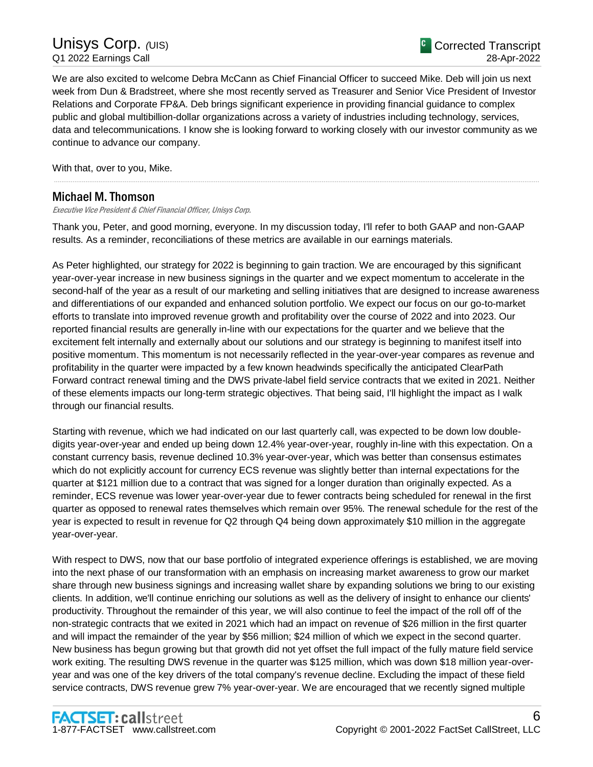We are also excited to welcome Debra McCann as Chief Financial Officer to succeed Mike. Deb will join us next week from Dun & Bradstreet, where she most recently served as Treasurer and Senior Vice President of Investor Relations and Corporate FP&A. Deb brings significant experience in providing financial guidance to complex public and global multibillion-dollar organizations across a variety of industries including technology, services, data and telecommunications. I know she is looking forward to working closely with our investor community as we continue to advance our company.

.....................................................................................................................................................................................................................................................................

With that, over to you, Mike.

## Michael M. Thomson

Executive Vice President & Chief Financial Officer, Unisys Corp.

Thank you, Peter, and good morning, everyone. In my discussion today, I'll refer to both GAAP and non-GAAP results. As a reminder, reconciliations of these metrics are available in our earnings materials.

As Peter highlighted, our strategy for 2022 is beginning to gain traction. We are encouraged by this significant year-over-year increase in new business signings in the quarter and we expect momentum to accelerate in the second-half of the year as a result of our marketing and selling initiatives that are designed to increase awareness and differentiations of our expanded and enhanced solution portfolio. We expect our focus on our go-to-market efforts to translate into improved revenue growth and profitability over the course of 2022 and into 2023. Our reported financial results are generally in-line with our expectations for the quarter and we believe that the excitement felt internally and externally about our solutions and our strategy is beginning to manifest itself into positive momentum. This momentum is not necessarily reflected in the year-over-year compares as revenue and profitability in the quarter were impacted by a few known headwinds specifically the anticipated ClearPath Forward contract renewal timing and the DWS private-label field service contracts that we exited in 2021. Neither of these elements impacts our long-term strategic objectives. That being said, I'll highlight the impact as I walk through our financial results.

Starting with revenue, which we had indicated on our last quarterly call, was expected to be down low doubledigits year-over-year and ended up being down 12.4% year-over-year, roughly in-line with this expectation. On a constant currency basis, revenue declined 10.3% year-over-year, which was better than consensus estimates which do not explicitly account for currency ECS revenue was slightly better than internal expectations for the quarter at \$121 million due to a contract that was signed for a longer duration than originally expected. As a reminder, ECS revenue was lower year-over-year due to fewer contracts being scheduled for renewal in the first quarter as opposed to renewal rates themselves which remain over 95%. The renewal schedule for the rest of the year is expected to result in revenue for Q2 through Q4 being down approximately \$10 million in the aggregate year-over-year.

With respect to DWS, now that our base portfolio of integrated experience offerings is established, we are moving into the next phase of our transformation with an emphasis on increasing market awareness to grow our market share through new business signings and increasing wallet share by expanding solutions we bring to our existing clients. In addition, we'll continue enriching our solutions as well as the delivery of insight to enhance our clients' productivity. Throughout the remainder of this year, we will also continue to feel the impact of the roll off of the non-strategic contracts that we exited in 2021 which had an impact on revenue of \$26 million in the first quarter and will impact the remainder of the year by \$56 million; \$24 million of which we expect in the second quarter. New business has begun growing but that growth did not yet offset the full impact of the fully mature field service work exiting. The resulting DWS revenue in the quarter was \$125 million, which was down \$18 million year-overyear and was one of the key drivers of the total company's revenue decline. Excluding the impact of these field service contracts, DWS revenue grew 7% year-over-year. We are encouraged that we recently signed multiple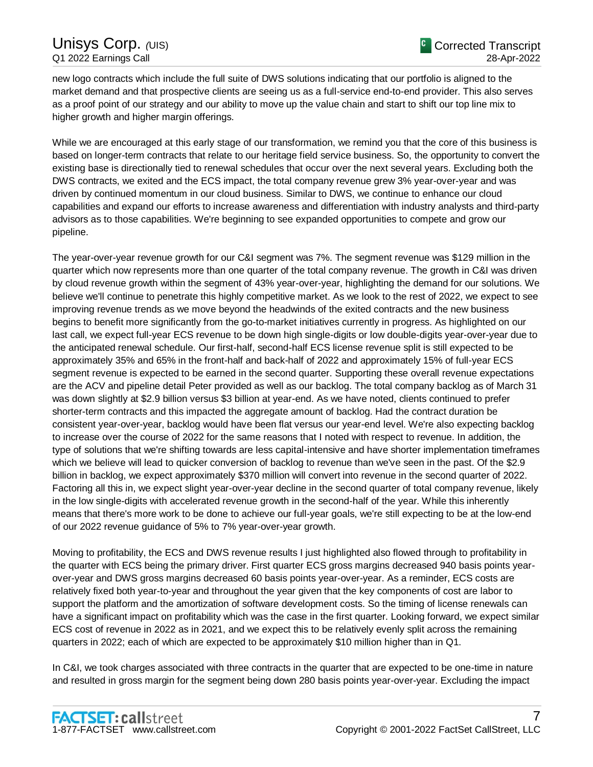new logo contracts which include the full suite of DWS solutions indicating that our portfolio is aligned to the market demand and that prospective clients are seeing us as a full-service end-to-end provider. This also serves as a proof point of our strategy and our ability to move up the value chain and start to shift our top line mix to higher growth and higher margin offerings.

While we are encouraged at this early stage of our transformation, we remind you that the core of this business is based on longer-term contracts that relate to our heritage field service business. So, the opportunity to convert the existing base is directionally tied to renewal schedules that occur over the next several years. Excluding both the DWS contracts, we exited and the ECS impact, the total company revenue grew 3% year-over-year and was driven by continued momentum in our cloud business. Similar to DWS, we continue to enhance our cloud capabilities and expand our efforts to increase awareness and differentiation with industry analysts and third-party advisors as to those capabilities. We're beginning to see expanded opportunities to compete and grow our pipeline.

The year-over-year revenue growth for our C&I segment was 7%. The segment revenue was \$129 million in the quarter which now represents more than one quarter of the total company revenue. The growth in C&I was driven by cloud revenue growth within the segment of 43% year-over-year, highlighting the demand for our solutions. We believe we'll continue to penetrate this highly competitive market. As we look to the rest of 2022, we expect to see improving revenue trends as we move beyond the headwinds of the exited contracts and the new business begins to benefit more significantly from the go-to-market initiatives currently in progress. As highlighted on our last call, we expect full-year ECS revenue to be down high single-digits or low double-digits year-over-year due to the anticipated renewal schedule. Our first-half, second-half ECS license revenue split is still expected to be approximately 35% and 65% in the front-half and back-half of 2022 and approximately 15% of full-year ECS segment revenue is expected to be earned in the second quarter. Supporting these overall revenue expectations are the ACV and pipeline detail Peter provided as well as our backlog. The total company backlog as of March 31 was down slightly at \$2.9 billion versus \$3 billion at year-end. As we have noted, clients continued to prefer shorter-term contracts and this impacted the aggregate amount of backlog. Had the contract duration be consistent year-over-year, backlog would have been flat versus our year-end level. We're also expecting backlog to increase over the course of 2022 for the same reasons that I noted with respect to revenue. In addition, the type of solutions that we're shifting towards are less capital-intensive and have shorter implementation timeframes which we believe will lead to quicker conversion of backlog to revenue than we've seen in the past. Of the \$2.9 billion in backlog, we expect approximately \$370 million will convert into revenue in the second quarter of 2022. Factoring all this in, we expect slight year-over-year decline in the second quarter of total company revenue, likely in the low single-digits with accelerated revenue growth in the second-half of the year. While this inherently means that there's more work to be done to achieve our full-year goals, we're still expecting to be at the low-end of our 2022 revenue guidance of 5% to 7% year-over-year growth.

Moving to profitability, the ECS and DWS revenue results I just highlighted also flowed through to profitability in the quarter with ECS being the primary driver. First quarter ECS gross margins decreased 940 basis points yearover-year and DWS gross margins decreased 60 basis points year-over-year. As a reminder, ECS costs are relatively fixed both year-to-year and throughout the year given that the key components of cost are labor to support the platform and the amortization of software development costs. So the timing of license renewals can have a significant impact on profitability which was the case in the first quarter. Looking forward, we expect similar ECS cost of revenue in 2022 as in 2021, and we expect this to be relatively evenly split across the remaining quarters in 2022; each of which are expected to be approximately \$10 million higher than in Q1.

In C&I, we took charges associated with three contracts in the quarter that are expected to be one-time in nature and resulted in gross margin for the segment being down 280 basis points year-over-year. Excluding the impact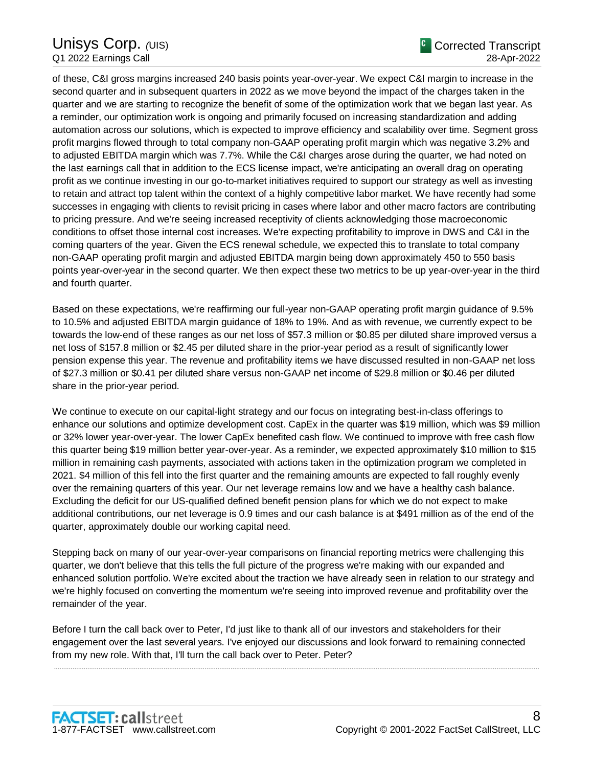of these, C&I gross margins increased 240 basis points year-over-year. We expect C&I margin to increase in the second quarter and in subsequent quarters in 2022 as we move beyond the impact of the charges taken in the quarter and we are starting to recognize the benefit of some of the optimization work that we began last year. As a reminder, our optimization work is ongoing and primarily focused on increasing standardization and adding automation across our solutions, which is expected to improve efficiency and scalability over time. Segment gross profit margins flowed through to total company non-GAAP operating profit margin which was negative 3.2% and to adjusted EBITDA margin which was 7.7%. While the C&I charges arose during the quarter, we had noted on the last earnings call that in addition to the ECS license impact, we're anticipating an overall drag on operating profit as we continue investing in our go-to-market initiatives required to support our strategy as well as investing to retain and attract top talent within the context of a highly competitive labor market. We have recently had some successes in engaging with clients to revisit pricing in cases where labor and other macro factors are contributing to pricing pressure. And we're seeing increased receptivity of clients acknowledging those macroeconomic conditions to offset those internal cost increases. We're expecting profitability to improve in DWS and C&I in the coming quarters of the year. Given the ECS renewal schedule, we expected this to translate to total company non-GAAP operating profit margin and adjusted EBITDA margin being down approximately 450 to 550 basis points year-over-year in the second quarter. We then expect these two metrics to be up year-over-year in the third and fourth quarter.

Based on these expectations, we're reaffirming our full-year non-GAAP operating profit margin guidance of 9.5% to 10.5% and adjusted EBITDA margin guidance of 18% to 19%. And as with revenue, we currently expect to be towards the low-end of these ranges as our net loss of \$57.3 million or \$0.85 per diluted share improved versus a net loss of \$157.8 million or \$2.45 per diluted share in the prior-year period as a result of significantly lower pension expense this year. The revenue and profitability items we have discussed resulted in non-GAAP net loss of \$27.3 million or \$0.41 per diluted share versus non-GAAP net income of \$29.8 million or \$0.46 per diluted share in the prior-year period.

We continue to execute on our capital-light strategy and our focus on integrating best-in-class offerings to enhance our solutions and optimize development cost. CapEx in the quarter was \$19 million, which was \$9 million or 32% lower year-over-year. The lower CapEx benefited cash flow. We continued to improve with free cash flow this quarter being \$19 million better year-over-year. As a reminder, we expected approximately \$10 million to \$15 million in remaining cash payments, associated with actions taken in the optimization program we completed in 2021. \$4 million of this fell into the first quarter and the remaining amounts are expected to fall roughly evenly over the remaining quarters of this year. Our net leverage remains low and we have a healthy cash balance. Excluding the deficit for our US-qualified defined benefit pension plans for which we do not expect to make additional contributions, our net leverage is 0.9 times and our cash balance is at \$491 million as of the end of the quarter, approximately double our working capital need.

Stepping back on many of our year-over-year comparisons on financial reporting metrics were challenging this quarter, we don't believe that this tells the full picture of the progress we're making with our expanded and enhanced solution portfolio. We're excited about the traction we have already seen in relation to our strategy and we're highly focused on converting the momentum we're seeing into improved revenue and profitability over the remainder of the year.

Before I turn the call back over to Peter, I'd just like to thank all of our investors and stakeholders for their engagement over the last several years. I've enjoyed our discussions and look forward to remaining connected from my new role. With that, I'll turn the call back over to Peter. Peter?

.....................................................................................................................................................................................................................................................................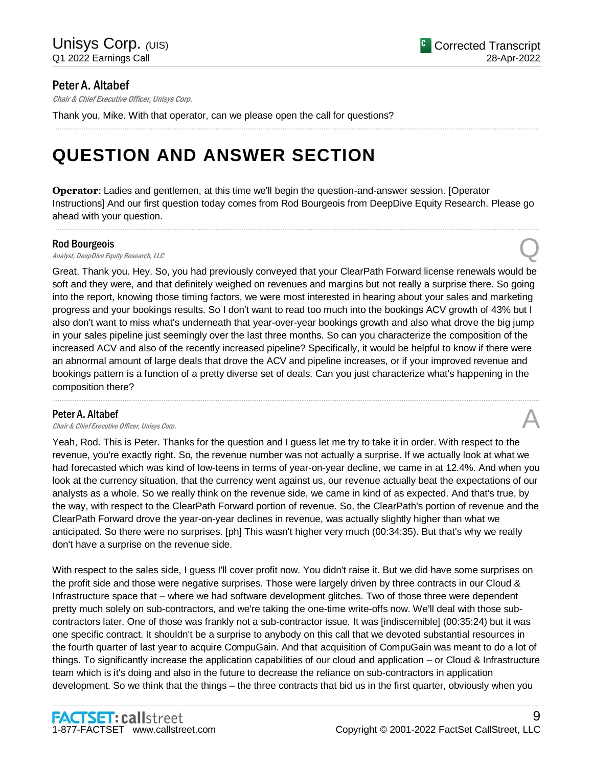## Peter A. Altabef

Chair & Chief Executive Officer, Unisys Corp.

Thank you, Mike. With that operator, can we please open the call for questions?

## **QUESTION AND ANSWER SECTION**

**Operator**: Ladies and gentlemen, at this time we'll begin the question-and-answer session. [Operator Instructions] And our first question today comes from Rod Bourgeois from DeepDive Equity Research. Please go ahead with your question.

.....................................................................................................................................................................................................................................................................

.....................................................................................................................................................................................................................................................................

#### Rod Bourgeois

**Rod Bourgeois**<br>Analyst, DeepDive Equity Research, LLC  $\bigotimes$ 

Great. Thank you. Hey. So, you had previously conveyed that your ClearPath Forward license renewals would be soft and they were, and that definitely weighed on revenues and margins but not really a surprise there. So going into the report, knowing those timing factors, we were most interested in hearing about your sales and marketing progress and your bookings results. So I don't want to read too much into the bookings ACV growth of 43% but I also don't want to miss what's underneath that year-over-year bookings growth and also what drove the big jump in your sales pipeline just seemingly over the last three months. So can you characterize the composition of the increased ACV and also of the recently increased pipeline? Specifically, it would be helpful to know if there were an abnormal amount of large deals that drove the ACV and pipeline increases, or if your improved revenue and bookings pattern is a function of a pretty diverse set of deals. Can you just characterize what's happening in the composition there?

.....................................................................................................................................................................................................................................................................

#### Peter A. Altabef

**Peter A. Altabef**  $\bigwedge$  *Chair & Chief Executive Officer, Unisys Corp.* 

Yeah, Rod. This is Peter. Thanks for the question and I guess let me try to take it in order. With respect to the revenue, you're exactly right. So, the revenue number was not actually a surprise. If we actually look at what we had forecasted which was kind of low-teens in terms of year-on-year decline, we came in at 12.4%. And when you look at the currency situation, that the currency went against us, our revenue actually beat the expectations of our analysts as a whole. So we really think on the revenue side, we came in kind of as expected. And that's true, by the way, with respect to the ClearPath Forward portion of revenue. So, the ClearPath's portion of revenue and the ClearPath Forward drove the year-on-year declines in revenue, was actually slightly higher than what we anticipated. So there were no surprises. [ph] This wasn't higher very much (00:34:35). But that's why we really don't have a surprise on the revenue side.

With respect to the sales side, I guess I'll cover profit now. You didn't raise it. But we did have some surprises on the profit side and those were negative surprises. Those were largely driven by three contracts in our Cloud & Infrastructure space that – where we had software development glitches. Two of those three were dependent pretty much solely on sub-contractors, and we're taking the one-time write-offs now. We'll deal with those subcontractors later. One of those was frankly not a sub-contractor issue. It was [indiscernible] (00:35:24) but it was one specific contract. It shouldn't be a surprise to anybody on this call that we devoted substantial resources in the fourth quarter of last year to acquire CompuGain. And that acquisition of CompuGain was meant to do a lot of things. To significantly increase the application capabilities of our cloud and application – or Cloud & Infrastructure team which is it's doing and also in the future to decrease the reliance on sub-contractors in application development. So we think that the things – the three contracts that bid us in the first quarter, obviously when you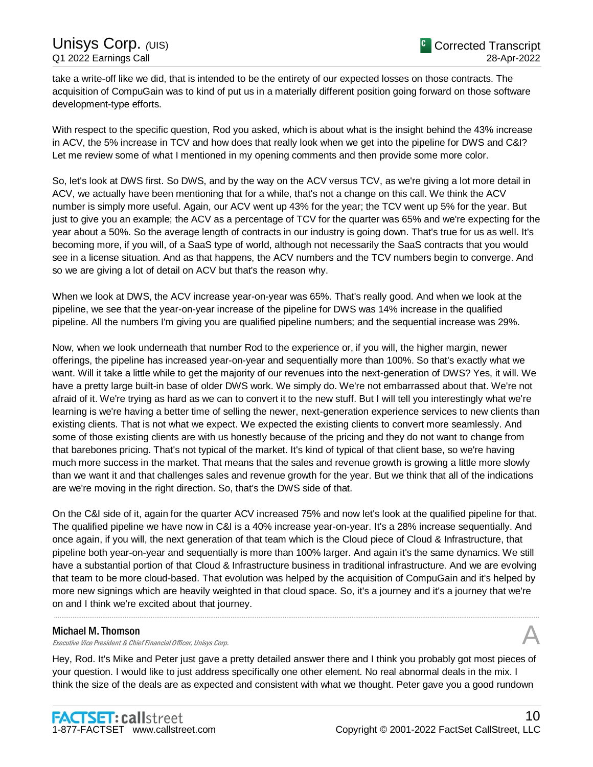take a write-off like we did, that is intended to be the entirety of our expected losses on those contracts. The acquisition of CompuGain was to kind of put us in a materially different position going forward on those software development-type efforts.

With respect to the specific question, Rod you asked, which is about what is the insight behind the 43% increase in ACV, the 5% increase in TCV and how does that really look when we get into the pipeline for DWS and C&I? Let me review some of what I mentioned in my opening comments and then provide some more color.

So, let's look at DWS first. So DWS, and by the way on the ACV versus TCV, as we're giving a lot more detail in ACV, we actually have been mentioning that for a while, that's not a change on this call. We think the ACV number is simply more useful. Again, our ACV went up 43% for the year; the TCV went up 5% for the year. But just to give you an example; the ACV as a percentage of TCV for the quarter was 65% and we're expecting for the year about a 50%. So the average length of contracts in our industry is going down. That's true for us as well. It's becoming more, if you will, of a SaaS type of world, although not necessarily the SaaS contracts that you would see in a license situation. And as that happens, the ACV numbers and the TCV numbers begin to converge. And so we are giving a lot of detail on ACV but that's the reason why.

When we look at DWS, the ACV increase year-on-year was 65%. That's really good. And when we look at the pipeline, we see that the year-on-year increase of the pipeline for DWS was 14% increase in the qualified pipeline. All the numbers I'm giving you are qualified pipeline numbers; and the sequential increase was 29%.

Now, when we look underneath that number Rod to the experience or, if you will, the higher margin, newer offerings, the pipeline has increased year-on-year and sequentially more than 100%. So that's exactly what we want. Will it take a little while to get the majority of our revenues into the next-generation of DWS? Yes, it will. We have a pretty large built-in base of older DWS work. We simply do. We're not embarrassed about that. We're not afraid of it. We're trying as hard as we can to convert it to the new stuff. But I will tell you interestingly what we're learning is we're having a better time of selling the newer, next-generation experience services to new clients than existing clients. That is not what we expect. We expected the existing clients to convert more seamlessly. And some of those existing clients are with us honestly because of the pricing and they do not want to change from that barebones pricing. That's not typical of the market. It's kind of typical of that client base, so we're having much more success in the market. That means that the sales and revenue growth is growing a little more slowly than we want it and that challenges sales and revenue growth for the year. But we think that all of the indications are we're moving in the right direction. So, that's the DWS side of that.

On the C&I side of it, again for the quarter ACV increased 75% and now let's look at the qualified pipeline for that. The qualified pipeline we have now in C&I is a 40% increase year-on-year. It's a 28% increase sequentially. And once again, if you will, the next generation of that team which is the Cloud piece of Cloud & Infrastructure, that pipeline both year-on-year and sequentially is more than 100% larger. And again it's the same dynamics. We still have a substantial portion of that Cloud & Infrastructure business in traditional infrastructure. And we are evolving that team to be more cloud-based. That evolution was helped by the acquisition of CompuGain and it's helped by more new signings which are heavily weighted in that cloud space. So, it's a journey and it's a journey that we're on and I think we're excited about that journey.

.....................................................................................................................................................................................................................................................................

#### Michael M. Thomson

Executive Vice President & Chief Financial Officer, Unisys Corp.

Hey, Rod. It's Mike and Peter just gave a pretty detailed answer there and I think you probably got most pieces of your question. I would like to just address specifically one other element. No real abnormal deals in the mix. I think the size of the deals are as expected and consistent with what we thought. Peter gave you a good rundown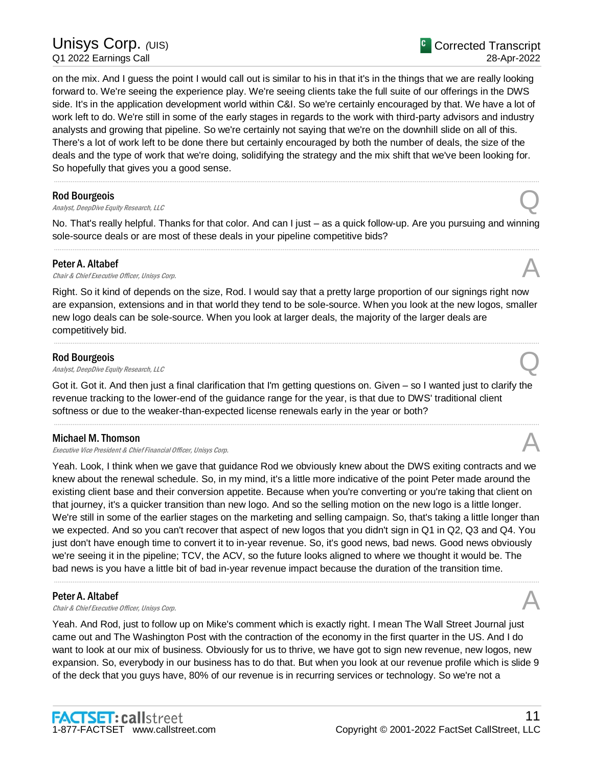on the mix. And I guess the point I would call out is similar to his in that it's in the things that we are really looking forward to. We're seeing the experience play. We're seeing clients take the full suite of our offerings in the DWS side. It's in the application development world within C&I. So we're certainly encouraged by that. We have a lot of work left to do. We're still in some of the early stages in regards to the work with third-party advisors and industry analysts and growing that pipeline. So we're certainly not saying that we're on the downhill slide on all of this. There's a lot of work left to be done there but certainly encouraged by both the number of deals, the size of the deals and the type of work that we're doing, solidifying the strategy and the mix shift that we've been looking for. So hopefully that gives you a good sense.

#### Rod Bourgeois

**Rod Bourgeois**<br>Analyst, DeepDive Equity Research, LLC  $\bigotimes$ 

No. That's really helpful. Thanks for that color. And can I just – as a quick follow-up. Are you pursuing and winning sole-source deals or are most of these deals in your pipeline competitive bids? .....................................................................................................................................................................................................................................................................

.....................................................................................................................................................................................................................................................................

#### Peter A. Altabef

**Peter A. Altabef**  $\bigcap_{\text{Char } k \text{ Chtier } \text{ KveU}}$  Unisys Corp.

Right. So it kind of depends on the size, Rod. I would say that a pretty large proportion of our signings right now are expansion, extensions and in that world they tend to be sole-source. When you look at the new logos, smaller new logo deals can be sole-source. When you look at larger deals, the majority of the larger deals are competitively bid.

.....................................................................................................................................................................................................................................................................

#### Rod Bourgeois

**Rod Bourgeois**<br>Analyst, DeepDive Equity Research, LLC  $\bigotimes$ 

Got it. Got it. And then just a final clarification that I'm getting questions on. Given – so I wanted just to clarify the revenue tracking to the lower-end of the guidance range for the year, is that due to DWS' traditional client softness or due to the weaker-than-expected license renewals early in the year or both?

.....................................................................................................................................................................................................................................................................

#### Michael M. Thomson

Executive Vice President & Chief Financial Officer, Unisys Corp.

Yeah. Look, I think when we gave that guidance Rod we obviously knew about the DWS exiting contracts and we knew about the renewal schedule. So, in my mind, it's a little more indicative of the point Peter made around the existing client base and their conversion appetite. Because when you're converting or you're taking that client on that journey, it's a quicker transition than new logo. And so the selling motion on the new logo is a little longer. We're still in some of the earlier stages on the marketing and selling campaign. So, that's taking a little longer than we expected. And so you can't recover that aspect of new logos that you didn't sign in Q1 in Q2, Q3 and Q4. You just don't have enough time to convert it to in-year revenue. So, it's good news, bad news. Good news obviously we're seeing it in the pipeline; TCV, the ACV, so the future looks aligned to where we thought it would be. The bad news is you have a little bit of bad in-year revenue impact because the duration of the transition time.

.....................................................................................................................................................................................................................................................................

#### Peter A. Altabef

**Peter A. Altabef**  $\bigcap_{\text{Char } k \text{ Chtler } \text{ X.}}$  Unisys Corp.

Yeah. And Rod, just to follow up on Mike's comment which is exactly right. I mean The Wall Street Journal just came out and The Washington Post with the contraction of the economy in the first quarter in the US. And I do want to look at our mix of business. Obviously for us to thrive, we have got to sign new revenue, new logos, new expansion. So, everybody in our business has to do that. But when you look at our revenue profile which is slide 9 of the deck that you guys have, 80% of our revenue is in recurring services or technology. So we're not a

<sup>C</sup> Corrected Transcript 28-Apr-2022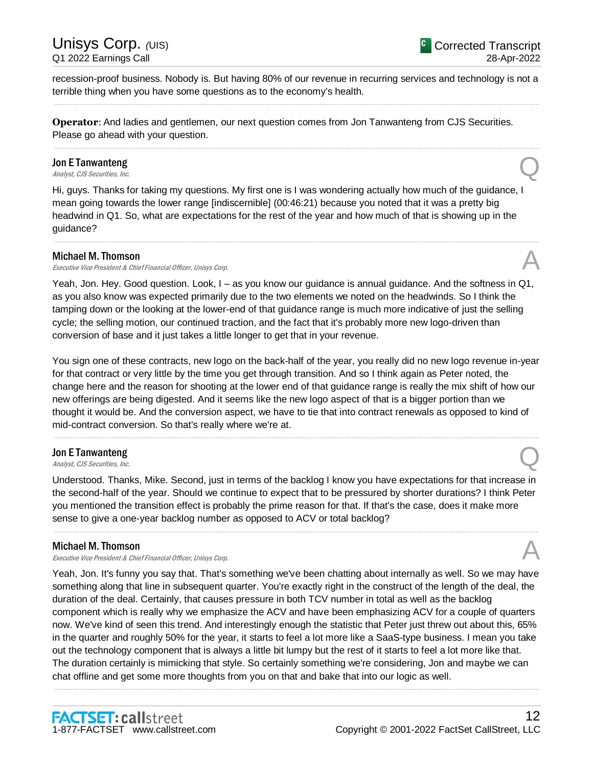recession-proof business. Nobody is. But having 80% of our revenue in recurring services and technology is not a terrible thing when you have some questions as to the economy's health. .....................................................................................................................................................................................................................................................................

.....................................................................................................................................................................................................................................................................

**Operator**: And ladies and gentlemen, our next question comes from Jon Tanwanteng from CJS Securities. Please go ahead with your question.

## Jon E Tanwanteng **Jon E Tanwanteng**<br>Analyst, CJS Securities, Inc.

Hi, guys. Thanks for taking my questions. My first one is I was wondering actually how much of the guidance, I mean going towards the lower range [indiscernible] (00:46:21) because you noted that it was a pretty big headwind in Q1. So, what are expectations for the rest of the year and how much of that is showing up in the guidance?

.....................................................................................................................................................................................................................................................................

#### Michael M. Thomson

Executive Vice President & Chief Financial Officer, Unisys Corp.

Yeah, Jon. Hey. Good question. Look, I – as you know our guidance is annual guidance. And the softness in Q1, as you also know was expected primarily due to the two elements we noted on the headwinds. So I think the tamping down or the looking at the lower-end of that guidance range is much more indicative of just the selling cycle; the selling motion, our continued traction, and the fact that it's probably more new logo-driven than conversion of base and it just takes a little longer to get that in your revenue.

You sign one of these contracts, new logo on the back-half of the year, you really did no new logo revenue in-year for that contract or very little by the time you get through transition. And so I think again as Peter noted, the change here and the reason for shooting at the lower end of that guidance range is really the mix shift of how our new offerings are being digested. And it seems like the new logo aspect of that is a bigger portion than we thought it would be. And the conversion aspect, we have to tie that into contract renewals as opposed to kind of mid-contract conversion. So that's really where we're at.

.....................................................................................................................................................................................................................................................................

## Jon E Tanwanteng **Jon E Tanwanteng**<br>Analyst, CJS Securities, Inc.

Understood. Thanks, Mike. Second, just in terms of the backlog I know you have expectations for that increase in the second-half of the year. Should we continue to expect that to be pressured by shorter durations? I think Peter you mentioned the transition effect is probably the prime reason for that. If that's the case, does it make more sense to give a one-year backlog number as opposed to ACV or total backlog?

.....................................................................................................................................................................................................................................................................

#### Michael M. Thomson

Executive Vice President & Chief Financial Officer, Unisys Corp.

Yeah, Jon. It's funny you say that. That's something we've been chatting about internally as well. So we may have something along that line in subsequent quarter. You're exactly right in the construct of the length of the deal, the duration of the deal. Certainly, that causes pressure in both TCV number in total as well as the backlog component which is really why we emphasize the ACV and have been emphasizing ACV for a couple of quarters now. We've kind of seen this trend. And interestingly enough the statistic that Peter just threw out about this, 65% in the quarter and roughly 50% for the year, it starts to feel a lot more like a SaaS-type business. I mean you take out the technology component that is always a little bit lumpy but the rest of it starts to feel a lot more like that. The duration certainly is mimicking that style. So certainly something we're considering, Jon and maybe we can chat offline and get some more thoughts from you on that and bake that into our logic as well.

.....................................................................................................................................................................................................................................................................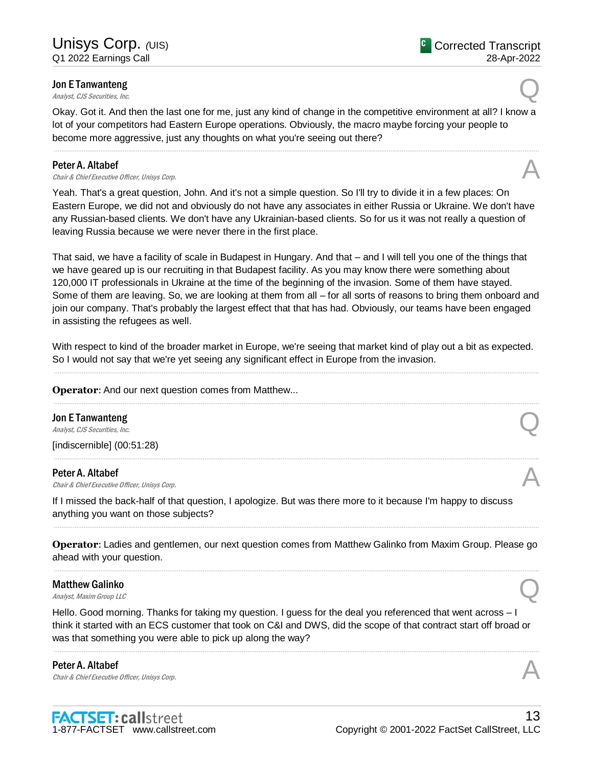## Jon E Tanwanteng **Jon E Tanwanteng**<br>Analyst, CJS Securities, Inc.

Okay. Got it. And then the last one for me, just any kind of change in the competitive environment at all? I know a lot of your competitors had Eastern Europe operations. Obviously, the macro maybe forcing your people to become more aggressive, just any thoughts on what you're seeing out there?

.....................................................................................................................................................................................................................................................................

#### Peter A. Altabef

**Peter A. Altabef**  $\bigcap_{\text{Char } k \text{ Chtler } \text{ X.}}$  Unisys Corp.

Yeah. That's a great question, John. And it's not a simple question. So I'll try to divide it in a few places: On Eastern Europe, we did not and obviously do not have any associates in either Russia or Ukraine. We don't have any Russian-based clients. We don't have any Ukrainian-based clients. So for us it was not really a question of leaving Russia because we were never there in the first place.

That said, we have a facility of scale in Budapest in Hungary. And that – and I will tell you one of the things that we have geared up is our recruiting in that Budapest facility. As you may know there were something about 120,000 IT professionals in Ukraine at the time of the beginning of the invasion. Some of them have stayed. Some of them are leaving. So, we are looking at them from all – for all sorts of reasons to bring them onboard and join our company. That's probably the largest effect that that has had. Obviously, our teams have been engaged in assisting the refugees as well.

With respect to kind of the broader market in Europe, we're seeing that market kind of play out a bit as expected. So I would not say that we're yet seeing any significant effect in Europe from the invasion. .....................................................................................................................................................................................................................................................................

.....................................................................................................................................................................................................................................................................

.....................................................................................................................................................................................................................................................................

#### **Operator:** And our next question comes from Matthew...

Jon E Tanwanteng **Jon E Tanwanteng**<br>Analyst, CJS Securities, Inc.

[indiscernible] (00:51:28)

#### Peter A. Altabef

**Peter A. Altabef**  $\bigcap_{\text{Char } k \text{ Chtler } \text{ X.}}$  Unisys Corp.

If I missed the back-half of that question, I apologize. But was there more to it because I'm happy to discuss anything you want on those subjects?

**Operator**: Ladies and gentlemen, our next question comes from Matthew Galinko from Maxim Group. Please go ahead with your question. .....................................................................................................................................................................................................................................................................

.....................................................................................................................................................................................................................................................................

## Matthew Galinko **Matthew Galinko**<br>Analyst, Maxim Group LLC

Hello. Good morning. Thanks for taking my question. I guess for the deal you referenced that went across – I think it started with an ECS customer that took on C&I and DWS, did the scope of that contract start off broad or was that something you were able to pick up along the way?

.....................................................................................................................................................................................................................................................................

Peter A. Altabef **Peter A. Altabef**  $\bigcap_{\text{Char } k \text{ Chtler } \text{ X.}}$  Unisys Corp.



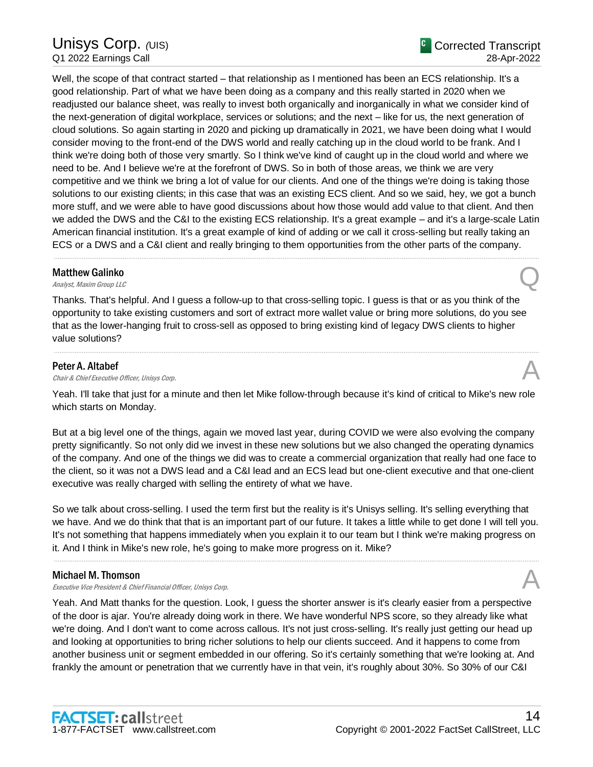Well, the scope of that contract started – that relationship as I mentioned has been an ECS relationship. It's a good relationship. Part of what we have been doing as a company and this really started in 2020 when we readjusted our balance sheet, was really to invest both organically and inorganically in what we consider kind of the next-generation of digital workplace, services or solutions; and the next – like for us, the next generation of cloud solutions. So again starting in 2020 and picking up dramatically in 2021, we have been doing what I would consider moving to the front-end of the DWS world and really catching up in the cloud world to be frank. And I think we're doing both of those very smartly. So I think we've kind of caught up in the cloud world and where we need to be. And I believe we're at the forefront of DWS. So in both of those areas, we think we are very competitive and we think we bring a lot of value for our clients. And one of the things we're doing is taking those solutions to our existing clients; in this case that was an existing ECS client. And so we said, hey, we got a bunch more stuff, and we were able to have good discussions about how those would add value to that client. And then we added the DWS and the C&I to the existing ECS relationship. It's a great example – and it's a large-scale Latin American financial institution. It's a great example of kind of adding or we call it cross-selling but really taking an ECS or a DWS and a C&I client and really bringing to them opportunities from the other parts of the company.

## Matthew Galinko **Matthew Galinko**<br>Analyst, Maxim Group LLC

Thanks. That's helpful. And I guess a follow-up to that cross-selling topic. I guess is that or as you think of the opportunity to take existing customers and sort of extract more wallet value or bring more solutions, do you see that as the lower-hanging fruit to cross-sell as opposed to bring existing kind of legacy DWS clients to higher value solutions?

.....................................................................................................................................................................................................................................................................

#### Peter A. Altabef

**Peter A. Altabef**  $\bigwedge$  *Chair & Chief Executive Officer, Unisys Corp.* 

Yeah. I'll take that just for a minute and then let Mike follow-through because it's kind of critical to Mike's new role which starts on Monday.

.....................................................................................................................................................................................................................................................................

But at a big level one of the things, again we moved last year, during COVID we were also evolving the company pretty significantly. So not only did we invest in these new solutions but we also changed the operating dynamics of the company. And one of the things we did was to create a commercial organization that really had one face to the client, so it was not a DWS lead and a C&I lead and an ECS lead but one-client executive and that one-client executive was really charged with selling the entirety of what we have.

So we talk about cross-selling. I used the term first but the reality is it's Unisys selling. It's selling everything that we have. And we do think that that is an important part of our future. It takes a little while to get done I will tell you. It's not something that happens immediately when you explain it to our team but I think we're making progress on it. And I think in Mike's new role, he's going to make more progress on it. Mike?

.....................................................................................................................................................................................................................................................................

#### Michael M. Thomson

Executive Vice President & Chief Financial Officer, Unisys Corp.

Yeah. And Matt thanks for the question. Look, I guess the shorter answer is it's clearly easier from a perspective of the door is ajar. You're already doing work in there. We have wonderful NPS score, so they already like what we're doing. And I don't want to come across callous. It's not just cross-selling. It's really just getting our head up and looking at opportunities to bring richer solutions to help our clients succeed. And it happens to come from another business unit or segment embedded in our offering. So it's certainly something that we're looking at. And frankly the amount or penetration that we currently have in that vein, it's roughly about 30%. So 30% of our C&I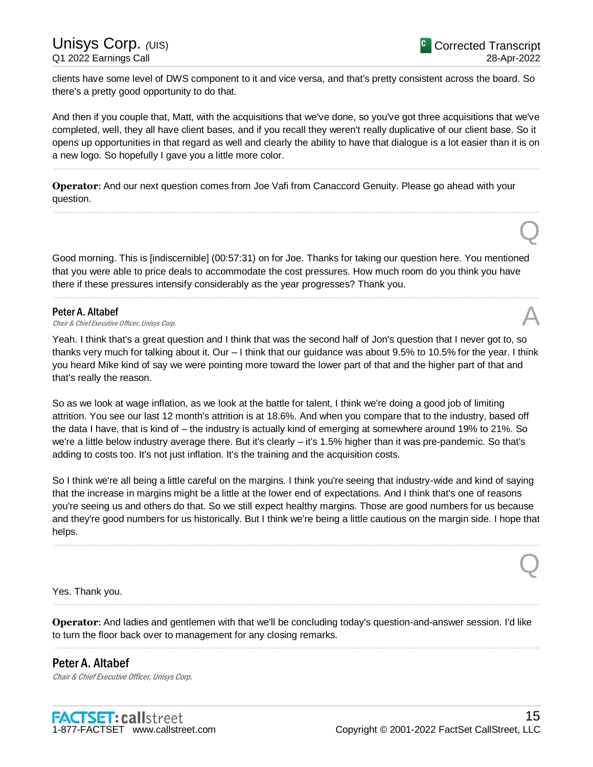Q

Q

clients have some level of DWS component to it and vice versa, and that's pretty consistent across the board. So there's a pretty good opportunity to do that.

And then if you couple that, Matt, with the acquisitions that we've done, so you've got three acquisitions that we've completed, well, they all have client bases, and if you recall they weren't really duplicative of our client base. So it opens up opportunities in that regard as well and clearly the ability to have that dialogue is a lot easier than it is on a new logo. So hopefully I gave you a little more color.

.....................................................................................................................................................................................................................................................................

.....................................................................................................................................................................................................................................................................

**Operator**: And our next question comes from Joe Vafi from Canaccord Genuity. Please go ahead with your question.

Good morning. This is [indiscernible] (00:57:31) on for Joe. Thanks for taking our question here. You mentioned that you were able to price deals to accommodate the cost pressures. How much room do you think you have there if these pressures intensify considerably as the year progresses? Thank you.

.....................................................................................................................................................................................................................................................................

#### Peter A. Altabef

Chair & Chief Executive Officer, Unisys Corp.

Yeah. I think that's a great question and I think that was the second half of Jon's question that I never got to, so thanks very much for talking about it. Our – I think that our guidance was about 9.5% to 10.5% for the year. I think you heard Mike kind of say we were pointing more toward the lower part of that and the higher part of that and that's really the reason.

So as we look at wage inflation, as we look at the battle for talent, I think we're doing a good job of limiting attrition. You see our last 12 month's attrition is at 18.6%. And when you compare that to the industry, based off the data I have, that is kind of – the industry is actually kind of emerging at somewhere around 19% to 21%. So we're a little below industry average there. But it's clearly – it's 1.5% higher than it was pre-pandemic. So that's adding to costs too. It's not just inflation. It's the training and the acquisition costs.

So I think we're all being a little careful on the margins. I think you're seeing that industry-wide and kind of saying that the increase in margins might be a little at the lower end of expectations. And I think that's one of reasons you're seeing us and others do that. So we still expect healthy margins. Those are good numbers for us because and they're good numbers for us historically. But I think we're being a little cautious on the margin side. I hope that helps.

.....................................................................................................................................................................................................................................................................

Yes. Thank you.

**Operator**: And ladies and gentlemen with that we'll be concluding today's question-and-answer session. I'd like to turn the floor back over to management for any closing remarks.

.....................................................................................................................................................................................................................................................................

.....................................................................................................................................................................................................................................................................

Peter A. Altabef Chair & Chief Executive Officer, Unisys Corp.